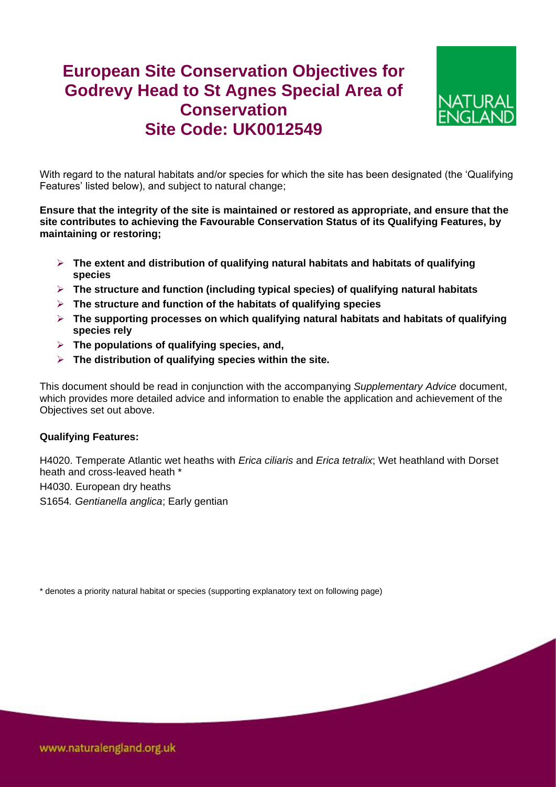## **European Site Conservation Objectives for Godrevy Head to St Agnes Special Area of Conservation Site Code: UK0012549**



With regard to the natural habitats and/or species for which the site has been designated (the 'Qualifying Features' listed below), and subject to natural change;

**Ensure that the integrity of the site is maintained or restored as appropriate, and ensure that the site contributes to achieving the Favourable Conservation Status of its Qualifying Features, by maintaining or restoring;**

- **The extent and distribution of qualifying natural habitats and habitats of qualifying species**
- **The structure and function (including typical species) of qualifying natural habitats**
- **The structure and function of the habitats of qualifying species**
- **The supporting processes on which qualifying natural habitats and habitats of qualifying species rely**
- **The populations of qualifying species, and,**
- **The distribution of qualifying species within the site.**

This document should be read in conjunction with the accompanying *Supplementary Advice* document, which provides more detailed advice and information to enable the application and achievement of the Objectives set out above.

## **Qualifying Features:**

H4020. Temperate Atlantic wet heaths with *Erica ciliaris* and *Erica tetralix*; Wet heathland with Dorset heath and cross-leaved heath \*

H4030. European dry heaths

S1654*. Gentianella anglica*; Early gentian

\* denotes a priority natural habitat or species (supporting explanatory text on following page)